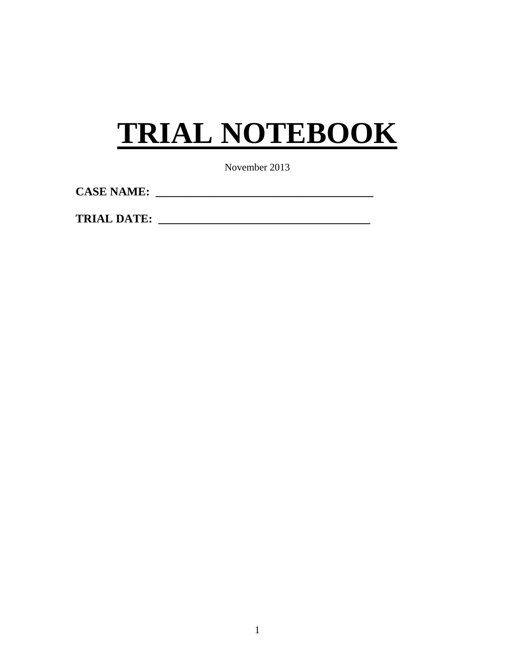# **TRIAL NOTEBOOK**

November 2013

**CASE NAME: \_\_\_\_\_\_\_\_\_\_\_\_\_\_\_\_\_\_\_\_\_\_\_\_\_\_\_\_\_\_\_\_\_\_\_\_\_** 

**TRIAL DATE: \_\_\_\_\_\_\_\_\_\_\_\_\_\_\_\_\_\_\_\_\_\_\_\_\_\_\_\_\_\_\_\_\_\_\_\_**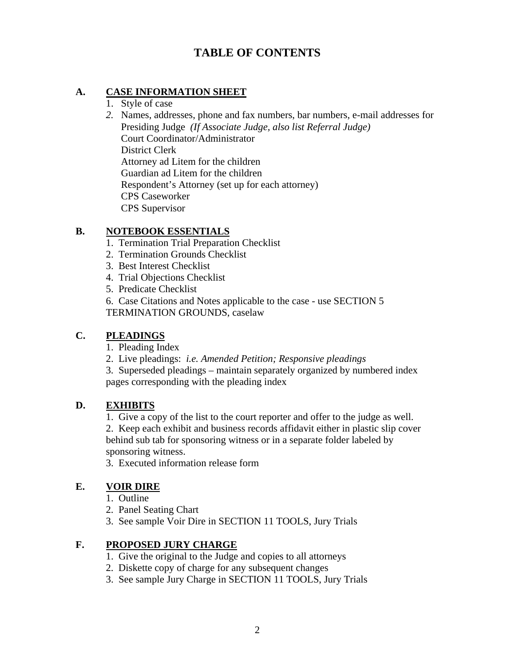## **TABLE OF CONTENTS**

#### **A. CASE INFORMATION SHEET**

- 1. Style of case
- *2.* Names, addresses, phone and fax numbers, bar numbers, e-mail addresses for Presiding Judge *(If Associate Judge, also list Referral Judge)*  Court Coordinator/Administrator District Clerk Attorney ad Litem for the children Guardian ad Litem for the children Respondent's Attorney (set up for each attorney) CPS Caseworker CPS Supervisor

#### **B. NOTEBOOK ESSENTIALS**

- 1. Termination Trial Preparation Checklist
- 2. Termination Grounds Checklist
- 3. Best Interest Checklist
- 4. Trial Objections Checklist
- 5. Predicate Checklist

6. Case Citations and Notes applicable to the case - use SECTION 5 TERMINATION GROUNDS, caselaw

#### **C. PLEADINGS**

- 1. Pleading Index
- 2. Live pleadings: *i.e. Amended Petition; Responsive pleadings*

3. Superseded pleadings – maintain separately organized by numbered index pages corresponding with the pleading index

#### **D. EXHIBITS**

1. Give a copy of the list to the court reporter and offer to the judge as well. 2. Keep each exhibit and business records affidavit either in plastic slip cover behind sub tab for sponsoring witness or in a separate folder labeled by sponsoring witness.

3. Executed information release form

#### **E. VOIR DIRE**

- 1. Outline
- 2. Panel Seating Chart
- 3. See sample Voir Dire in SECTION 11 TOOLS, Jury Trials

#### **F. PROPOSED JURY CHARGE**

- 1. Give the original to the Judge and copies to all attorneys
- 2. Diskette copy of charge for any subsequent changes
- 3. See sample Jury Charge in SECTION 11 TOOLS, Jury Trials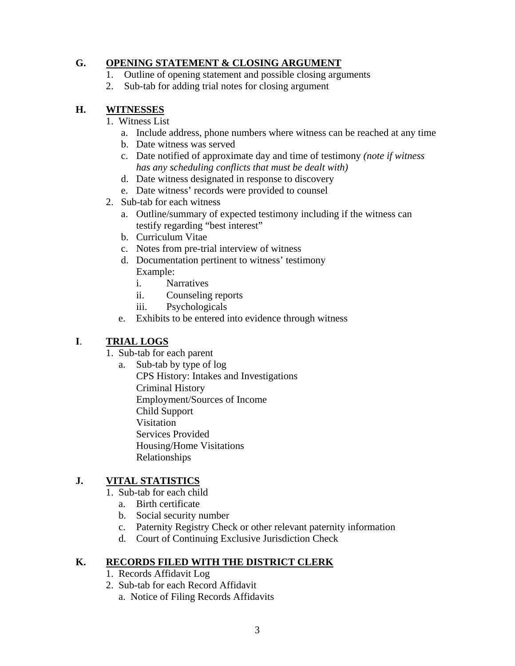#### **G. OPENING STATEMENT & CLOSING ARGUMENT**

- 1. Outline of opening statement and possible closing arguments
- 2. Sub-tab for adding trial notes for closing argument

#### **H. WITNESSES**

- 1. Witness List
	- a. Include address, phone numbers where witness can be reached at any time
	- b. Date witness was served
	- c. Date notified of approximate day and time of testimony *(note if witness has any scheduling conflicts that must be dealt with)*
	- d. Date witness designated in response to discovery
	- e. Date witness' records were provided to counsel
- 2. Sub-tab for each witness
	- a. Outline/summary of expected testimony including if the witness can testify regarding "best interest"
	- b. Curriculum Vitae
	- c. Notes from pre-trial interview of witness
	- d. Documentation pertinent to witness' testimony Example:
		- i. Narratives
		- ii. Counseling reports
		- iii. Psychologicals
	- e. Exhibits to be entered into evidence through witness

### **I**. **TRIAL LOGS**

- 1. Sub-tab for each parent
	- a. Sub-tab by type of log
		- Employment/Sources of Income  Relationships CPS History: Intakes and Investigations Criminal History Child Support Visitation Services Provided Housing/Home Visitations

### **J. VITAL STATISTICS**

- 1. Sub-tab for each child
	- a. Birth certificate
	- b. Social security number
	- c. Paternity Registry Check or other relevant paternity information
	- d. Court of Continuing Exclusive Jurisdiction Check

#### **K. RECORDS FILED WITH THE DISTRICT CLERK**

- 1. Records Affidavit Log
- 2. Sub-tab for each Record Affidavit
	- a. Notice of Filing Records Affidavits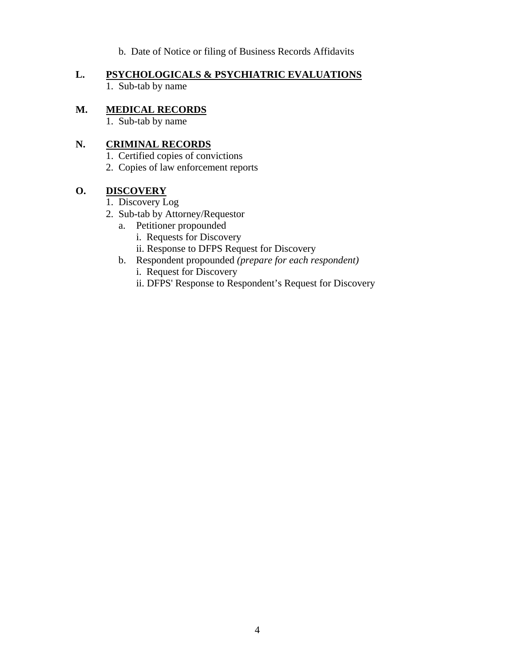b. Date of Notice or filing of Business Records Affidavits

## **L. PSYCHOLOGICALS & PSYCHIATRIC EVALUATIONS**

1. Sub-tab by name

#### **M. MEDICAL RECORDS**

1. Sub-tab by name

#### **N. CRIMINAL RECORDS**

- 1. Certified copies of convictions
- 2. Copies of law enforcement reports

#### **O. DISCOVERY**

- 1. Discovery Log
- 2. Sub-tab by Attorney/Requestor
	- a. Petitioner propounded
		- i. Requests for Discovery
		- ii. Response to DFPS Request for Discovery
	- b. Respondent propounded *(prepare for each respondent)* 
		- i. Request for Discovery
		- ii. DFPS' Response to Respondent's Request for Discovery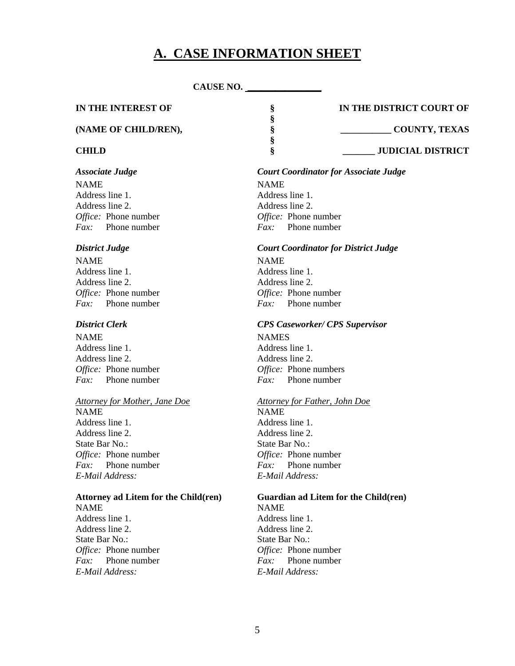## **A. CASE INFORMATION SHEET**

**§** 

#### **CAUSE NO. \_\_\_\_\_\_\_\_\_\_\_\_\_\_\_\_**

 **§** 

#### **IN THE INTEREST OF § IN THE DISTRICT COURT OF**

Office: Phone number NAME NAME Address line 1. Address line 2. Address line 2. *Fax:* Phone number *Fax:* Phone number

#### **District Judge**

Office: Phone number NAME NAME Address line 1. Address line 1. Address line 2. Address line 2. *Fax:* Phone number *Fax:* Phone number

NAME NAMES Address line 1. Address line 1. Address line 2. Address line 2. *Fax:* Phone number *Fax:* Phone number

#### *Attorney for Mother, Jane Doe Attorney for Father, John Doe*

Office: Phone number NAME NAME Address line 1. Address line 2. Address line 2. State Bar No.: State Bar No.: *Fax:* Phone number *Fax:* Phone number *E-Mail Address: E-Mail Address:*

#### **Attorney ad Litem for the Child(ren)** NAME NAME Address line 1. Address line 1.

Office: Phone number Address line 2. Address line 2. State Bar No.: State Bar No.: *Fax:* Phone number *Fax:* Phone number *E-Mail Address: E-Mail Address:*

#### *Associate Judge Court Coordinator for Associate Judge*

*Office:* Phone number *Office:* Phone number

#### *District Judge Court Coordinator for District Judge*

*Office:* Phone number *Office:* Phone number

#### *District Clerk CPS Caseworker/ CPS Supervisor*

*Office:* Phone number *Office:* Phone numbers

*Office:* Phone number *Office:* Phone number

# Guardian ad Litem for the Child(ren)

*Office:* Phone number *Office:* Phone number

# **(NAME OF CHILD/REN), § \_\_\_\_\_\_\_\_\_\_\_ COUNTY, TEXAS**

**CHILD S** S JUDICIAL DISTRICT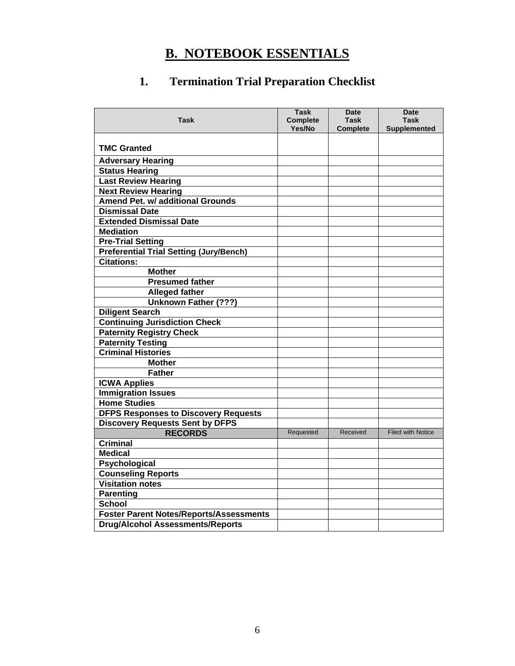# **B. NOTEBOOK ESSENTIALS**

# **1. Termination Trial Preparation Checklist**

| <b>Task</b>                                    | <b>Task</b><br><b>Complete</b><br>Yes/No | <b>Date</b><br>Task<br><b>Complete</b> | <b>Date</b><br>Task<br><b>Supplemented</b> |
|------------------------------------------------|------------------------------------------|----------------------------------------|--------------------------------------------|
|                                                |                                          |                                        |                                            |
| <b>TMC Granted</b>                             |                                          |                                        |                                            |
| <b>Adversary Hearing</b>                       |                                          |                                        |                                            |
| <b>Status Hearing</b>                          |                                          |                                        |                                            |
| <b>Last Review Hearing</b>                     |                                          |                                        |                                            |
| <b>Next Review Hearing</b>                     |                                          |                                        |                                            |
| <b>Amend Pet. w/ additional Grounds</b>        |                                          |                                        |                                            |
| <b>Dismissal Date</b>                          |                                          |                                        |                                            |
| <b>Extended Dismissal Date</b>                 |                                          |                                        |                                            |
| <b>Mediation</b>                               |                                          |                                        |                                            |
| <b>Pre-Trial Setting</b>                       |                                          |                                        |                                            |
| <b>Preferential Trial Setting (Jury/Bench)</b> |                                          |                                        |                                            |
| <b>Citations:</b>                              |                                          |                                        |                                            |
| <b>Mother</b>                                  |                                          |                                        |                                            |
| <b>Presumed father</b>                         |                                          |                                        |                                            |
| <b>Alleged father</b>                          |                                          |                                        |                                            |
| <b>Unknown Father (???)</b>                    |                                          |                                        |                                            |
| <b>Diligent Search</b>                         |                                          |                                        |                                            |
| <b>Continuing Jurisdiction Check</b>           |                                          |                                        |                                            |
| <b>Paternity Registry Check</b>                |                                          |                                        |                                            |
| <b>Paternity Testing</b>                       |                                          |                                        |                                            |
| <b>Criminal Histories</b>                      |                                          |                                        |                                            |
| <b>Mother</b>                                  |                                          |                                        |                                            |
| <b>Father</b>                                  |                                          |                                        |                                            |
| <b>ICWA Applies</b>                            |                                          |                                        |                                            |
| <b>Immigration Issues</b>                      |                                          |                                        |                                            |
| <b>Home Studies</b>                            |                                          |                                        |                                            |
| <b>DFPS Responses to Discovery Requests</b>    |                                          |                                        |                                            |
| <b>Discovery Requests Sent by DFPS</b>         |                                          |                                        |                                            |
| <b>RECORDS</b>                                 | Requested                                | Received                               | <b>Filed with Notice</b>                   |
| <b>Criminal</b>                                |                                          |                                        |                                            |
| <b>Medical</b>                                 |                                          |                                        |                                            |
| Psychological                                  |                                          |                                        |                                            |
| <b>Counseling Reports</b>                      |                                          |                                        |                                            |
| <b>Visitation notes</b>                        |                                          |                                        |                                            |
| <b>Parenting</b>                               |                                          |                                        |                                            |
| <b>School</b>                                  |                                          |                                        |                                            |
| <b>Foster Parent Notes/Reports/Assessments</b> |                                          |                                        |                                            |
| <b>Drug/Alcohol Assessments/Reports</b>        |                                          |                                        |                                            |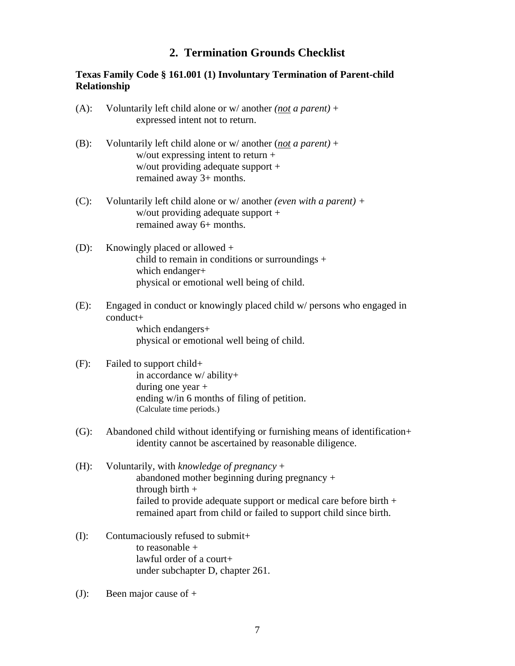## **2. Termination Grounds Checklist**

#### **Texas Family Code § 161.001 (1) Involuntary Termination of Parent-child Relationship**

- (A): Voluntarily left child alone or w/ another *(not a parent)* + expressed intent not to return.
- (B): Voluntarily left child alone or w/ another (*not a parent)* + w/out expressing intent to return + w/out providing adequate support + remained away 3+ months.
- (C): Voluntarily left child alone or w/ another *(even with a parent) +*  w/out providing adequate support + remained away 6+ months.
- (D): Knowingly placed or allowed + child to remain in conditions or surroundings + which endanger+ physical or emotional well being of child.
- (E): Engaged in conduct or knowingly placed child w/ persons who engaged in conduct+ which endangers+

physical or emotional well being of child.

#### (F): Failed to support child+ in accordance w/ ability+ during one year + ending w/in 6 months of filing of petition. (Calculate time periods.)

- (G): Abandoned child without identifying or furnishing means of identification+ identity cannot be ascertained by reasonable diligence.
- (H): Voluntarily, with *knowledge of pregnancy* + abandoned mother beginning during pregnancy + through birth  $+$ failed to provide adequate support or medical care before birth + remained apart from child or failed to support child since birth.
- (I): Contumaciously refused to submit+ to reasonable + lawful order of a court+ under subchapter D, chapter 261.
- (J): Been major cause of +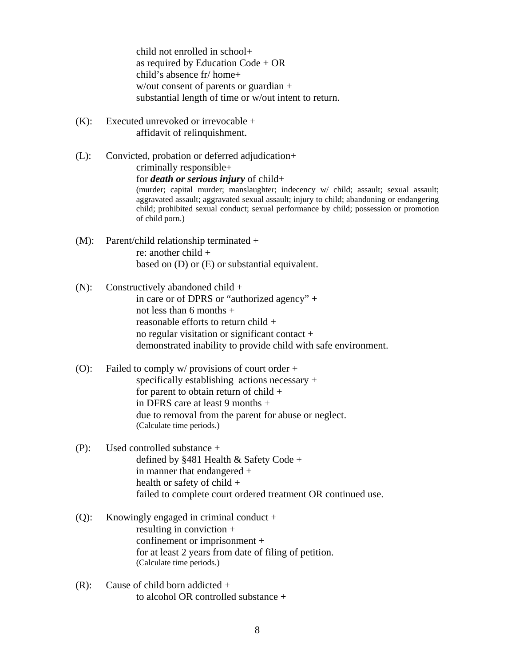child not enrolled in school+ as required by Education Code + OR child's absence fr/ home+ w/out consent of parents or guardian + substantial length of time or w/out intent to return.

(K): Executed unrevoked or irrevocable + affidavit of relinquishment.

 child; prohibited sexual conduct; sexual performance by child; possession or promotion (L): Convicted, probation or deferred adjudication+ criminally responsible+ for *death or serious injury* of child+ (murder; capital murder; manslaughter; indecency w/ child; assault; sexual assault; aggravated assault; aggravated sexual assault; injury to child; abandoning or endangering of child porn.)

- (M): Parent/child relationship terminated + re: another child + based on (D) or (E) or substantial equivalent.
- (N): Constructively abandoned child  $+$ in care or of DPRS or "authorized agency" + not less than 6 months + reasonable efforts to return child + no regular visitation or significant contact + demonstrated inability to provide child with safe environment.
- (O): Failed to comply w/ provisions of court order + specifically establishing actions necessary + for parent to obtain return of child + in DFRS care at least 9 months + due to removal from the parent for abuse or neglect. (Calculate time periods.)
- (P): Used controlled substance + defined by §481 Health & Safety Code + in manner that endangered + health or safety of child + failed to complete court ordered treatment OR continued use.
- (Q): Knowingly engaged in criminal conduct + resulting in conviction + confinement or imprisonment + for at least 2 years from date of filing of petition. (Calculate time periods.)
- $(R)$ : Cause of child born addicted + to alcohol OR controlled substance +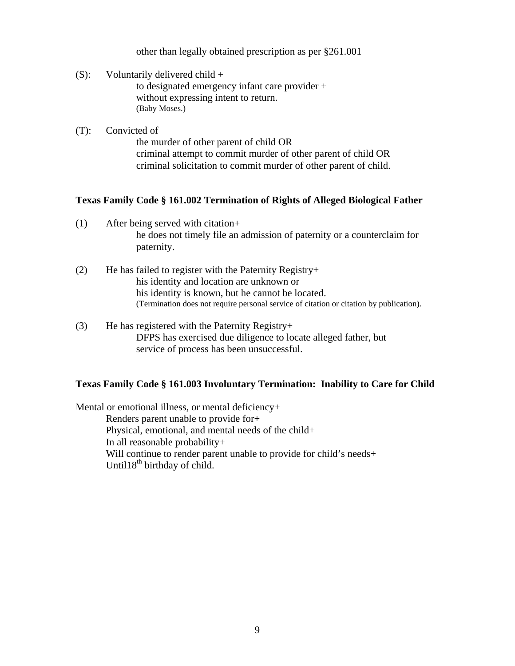other than legally obtained prescription as per §261.001

- (S): Voluntarily delivered child  $+$  to designated emergency infant care provider + without expressing intent to return. (Baby Moses.)
- (T): Convicted of the murder of other parent of child OR criminal attempt to commit murder of other parent of child OR criminal solicitation to commit murder of other parent of child.

#### **Texas Family Code § 161.002 Termination of Rights of Alleged Biological Father**

- (1) After being served with citation+ he does not timely file an admission of paternity or a counterclaim for paternity.
- (2) He has failed to register with the Paternity Registry+ his identity and location are unknown or his identity is known, but he cannot be located. (Termination does not require personal service of citation or citation by publication).
- $(3)$  He has registered with the Paternity Registry+ DFPS has exercised due diligence to locate alleged father, but service of process has been unsuccessful.

#### **Texas Family Code § 161.003 Involuntary Termination: Inability to Care for Child**

Mental or emotional illness, or mental deficiency+ Renders parent unable to provide for+ Physical, emotional, and mental needs of the child+ In all reasonable probability+ Will continue to render parent unable to provide for child's needs+ Until $18<sup>th</sup>$  birthday of child.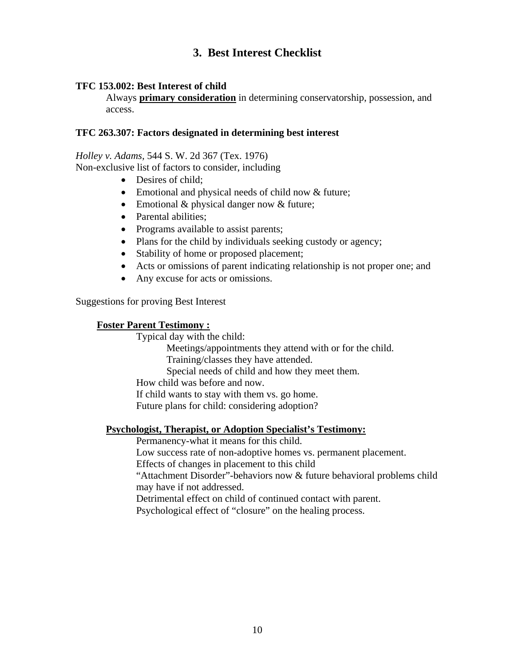## **3. Best Interest Checklist**

#### **TFC 153.002: Best Interest of child**

Always **primary consideration** in determining conservatorship, possession, and access.

#### **TFC 263.307: Factors designated in determining best interest**

#### *Holley v. Adams,* 544 S. W. 2d 367 (Tex. 1976)

Non-exclusive list of factors to consider, including

- Desires of child:
- Emotional and physical needs of child now & future;
- Emotional & physical danger now & future;
- Parental abilities:
- Programs available to assist parents;
- Plans for the child by individuals seeking custody or agency;
- Stability of home or proposed placement;
- Acts or omissions of parent indicating relationship is not proper one; and
- Any excuse for acts or omissions.

Suggestions for proving Best Interest

#### **Foster Parent Testimony :**

Typical day with the child:

Meetings/appointments they attend with or for the child.

Training/classes they have attended.

Special needs of child and how they meet them.

How child was before and now.

If child wants to stay with them vs. go home.

Future plans for child: considering adoption?

#### **Psychologist, Therapist, or Adoption Specialist's Testimony:**

Permanency-what it means for this child.

Low success rate of non-adoptive homes vs. permanent placement.

Effects of changes in placement to this child

"Attachment Disorder"-behaviors now & future behavioral problems child may have if not addressed.

Detrimental effect on child of continued contact with parent.

Psychological effect of "closure" on the healing process.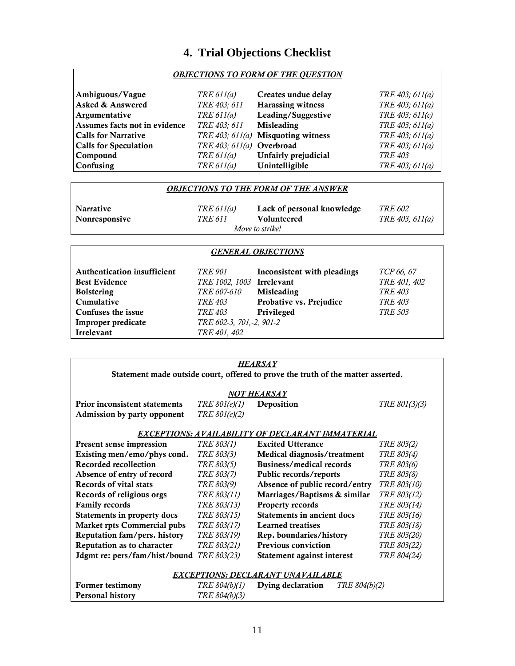## **4. Trial Objections Checklist**

#### *OBJECTIONS TO FORM OF THE QUESTION*

| Ambiguous/Vague               | TRE $611(a)$              | Creates undue delay                | TRE 403; 611(a) |
|-------------------------------|---------------------------|------------------------------------|-----------------|
| <b>Asked &amp; Answered</b>   | TRE 403; 611              | <b>Harassing witness</b>           | TRE 403; 611(a) |
| Argumentative                 | TRE 611(a)                | Leading/Suggestive                 | TRE 403; 611(c) |
| Assumes facts not in evidence | TRE 403; 611              | <b>Misleading</b>                  | TRE 403; 611(a) |
| <b>Calls for Narrative</b>    |                           | TRE 403; 611(a) Misquoting witness | TRE 403; 611(a) |
| <b>Calls for Speculation</b>  | TRE 403; 611(a) Overbroad |                                    | TRE 403; 611(a) |
| Compound                      | TRE $611(a)$              | Unfairly prejudicial               | TRE 403         |
| Confusing                     | TRE 611(a)                | Unintelligible                     | TRE 403; 611(a) |

#### *OBJECTIONS TO THE FORM OF THE ANSWER*

| Narrative     | TRE 611(a) | Lack of personal knowledge | <i>TRE 602</i>  |
|---------------|------------|----------------------------|-----------------|
| Nonresponsive | TRE 611    | <b>Volunteered</b>         | TRE 403, 611(a) |
|               |            | Move to strike!            |                 |

### *GENERAL OBJECTIONS*

| <b>Authentication insufficient</b><br><b>Best Evidence</b> | <i>TRE 901</i><br>TRE 1002, 1003 Irrelevant | Inconsistent with pleadings | TCP 66, 67<br>TRE 401, 402 |
|------------------------------------------------------------|---------------------------------------------|-----------------------------|----------------------------|
| <b>Bolstering</b>                                          | TRE 607-610                                 | <b>Misleading</b>           | <b>TRE 403</b>             |
| Cumulative                                                 | <i>TRE 403</i>                              | Probative vs. Prejudice     | <i>TRE 403</i>             |
| Confuses the issue                                         | <i>TRE 403</i>                              | Privileged                  | <i>TRE 503</i>             |
| Improper predicate                                         | TRE 602-3, 701, -2, 901-2                   |                             |                            |
| Irrelevant                                                 | TRE 401, 402                                |                             |                            |

| HEARSAY<br>Statement made outside court, offered to prove the truth of the matter asserted. |                      |                                                  |               |  |  |  |  |
|---------------------------------------------------------------------------------------------|----------------------|--------------------------------------------------|---------------|--|--|--|--|
|                                                                                             | NOT HEARSAY          |                                                  |               |  |  |  |  |
| Prior inconsistent statements                                                               | TRE 801(e)(1)        | Deposition                                       | TRE 801(3)(3) |  |  |  |  |
| Admission by party opponent                                                                 | TRE 801(e)(2)        |                                                  |               |  |  |  |  |
|                                                                                             |                      |                                                  |               |  |  |  |  |
|                                                                                             |                      | EXCEPTIONS: AVAILABILITY OF DECLARANT IMMATERIAL |               |  |  |  |  |
| Present sense impression                                                                    | TRE 803(1)           | <b>Excited Utterance</b>                         | TRE 803(2)    |  |  |  |  |
| Existing men/emo/phys cond.                                                                 | TRE 803(3)           | Medical diagnosis/treatment                      | TRE 803(4)    |  |  |  |  |
| Recorded recollection                                                                       | TRE 803(5)           | Business/medical records                         | TRE 803(6)    |  |  |  |  |
| Absence of entry of record                                                                  | TRE 803(7)           | Public records/reports                           | TRE 803(8)    |  |  |  |  |
| Records of vital stats                                                                      | TRE 803(9)           | Absence of public record/entry                   | TRE 803(10)   |  |  |  |  |
| Records of religious orgs                                                                   | TRE 803(11)          | Marriages/Baptisms & similar                     | TRE 803(12)   |  |  |  |  |
| <b>Family records</b>                                                                       | TRE 803(13)          | Property records                                 | TRE 803(14)   |  |  |  |  |
| Statements in property docs                                                                 | TRE 803(15)          | Statements in ancient docs                       | TRE 803(16)   |  |  |  |  |
| <b>Market rpts Commercial pubs</b>                                                          | TRE 803(17)          | <b>Learned treatises</b>                         | TRE 803(18)   |  |  |  |  |
| Reputation fam/pers. history                                                                | TRE 803(19)          | Rep. boundaries/history                          | TRE 803(20)   |  |  |  |  |
| Reputation as to character                                                                  | TRE 803(21)          | <b>Previous conviction</b>                       | TRE 803(22)   |  |  |  |  |
| Jdgmt re: pers/fam/hist/bound TRE 803(23)                                                   |                      | Statement against interest                       | TRE 804(24)   |  |  |  |  |
|                                                                                             |                      |                                                  |               |  |  |  |  |
| EXCEPTIONS: DECLARANT UNAVAILABLE                                                           |                      |                                                  |               |  |  |  |  |
| <b>Former testimony</b>                                                                     | <i>TRE 804(b)(1)</i> | Dying declaration<br><i>TRE 804(b)(2)</i>        |               |  |  |  |  |
| <b>Personal history</b>                                                                     | TRE 804(b)(3)        |                                                  |               |  |  |  |  |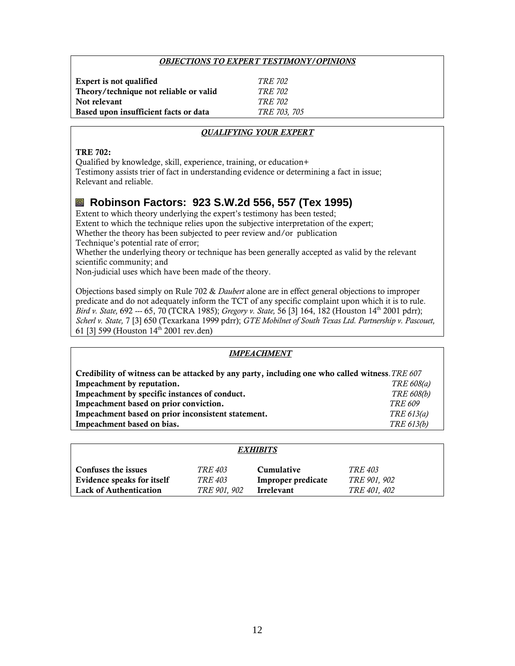#### *OBJECTIONS TO EXPERT TESTIMONY/OPINIONS*

| Expert is not qualified                | <i>TRE 702</i> |
|----------------------------------------|----------------|
| Theory/technique not reliable or valid | <i>TRE 702</i> |
| Not relevant                           | TRE 702        |
| Based upon insufficient facts or data  | TRE 703, 705   |

#### *QUALIFYING YOUR EXPERT*

#### TRE 702:

Qualified by knowledge, skill, experience, training, or education+ Testimony assists trier of fact in understanding evidence or determining a fact in issue; Relevant and reliable.

## **Robinson Factors: 923 S.W.2d 556, 557 (Tex 1995)**

Extent to which theory underlying the expert's testimony has been tested; Extent to which the technique relies upon the subjective interpretation of the expert; Whether the theory has been subjected to peer review and/or publication Technique's potential rate of error; Whether the underlying theory or technique has been generally accepted as valid by the relevant scientific community; and

Non-judicial uses which have been made of the theory.

Objections based simply on Rule 702 & *Daubert* alone are in effect general objections to improper predicate and do not adequately inform the TCT of any specific complaint upon which it is to rule. *Bird v. State,* 692 --- 65, 70 (TCRA 1985); *Gregory v. State,* 56 [3] 164, 182 (Houston 14th 2001 pdrr); *Scherl v. State,* 7 [3] 650 (Texarkana 1999 pdrr); *GTE Mobilnet of South Texas Ltd. Partnership v. Pascouet,* 61 [3] 599 (Houston 14th 2001 rev.den)

#### *IMPEACHMENT*

| Credibility of witness can be attacked by any party, including one who called witness. TRE 607 |                   |
|------------------------------------------------------------------------------------------------|-------------------|
| Impeachment by reputation.                                                                     | TRE 608(a)        |
| Impeachment by specific instances of conduct.                                                  | <b>TRE 608(b)</b> |
| Impeachment based on prior conviction.                                                         | <i>TRE 609</i>    |
| Impeachment based on prior inconsistent statement.                                             | TRE 613(a)        |
| Impeachment based on bias.                                                                     | TRE 613(b)        |

| <i><b>EXHIBITS</b></i>     |                |                    |                     |  |
|----------------------------|----------------|--------------------|---------------------|--|
| <b>Confuses the issues</b> | <i>TRE 403</i> | Cumulative         | <i>TRE 403</i>      |  |
| Evidence speaks for itself | <i>TRE 403</i> | Improper predicate | <i>TRE 901, 902</i> |  |
| Lack of Authentication     | TRE 901, 902   | Irrelevant         | <i>TRE 401, 402</i> |  |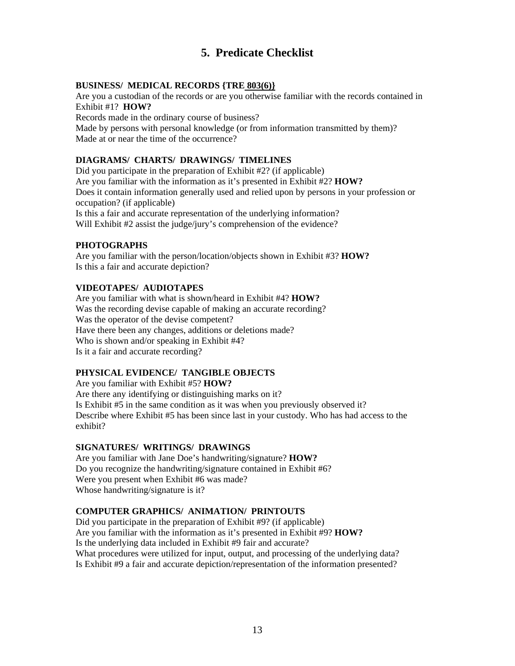## **5. Predicate Checklist**

#### **BUSINESS/ MEDICAL RECORDS {TRE 803(6)}**

Are you a custodian of the records or are you otherwise familiar with the records contained in Exhibit #1? **HOW?**  Records made in the ordinary course of business? Made by persons with personal knowledge (or from information transmitted by them)? Made at or near the time of the occurrence?

## **DIAGRAMS/ CHARTS/ DRAWINGS/ TIMELINES**

Did you participate in the preparation of Exhibit #2? (if applicable) Are you familiar with the information as it's presented in Exhibit #2? **HOW?** Does it contain information generally used and relied upon by persons in your profession or occupation? (if applicable) Is this a fair and accurate representation of the underlying information? Will Exhibit #2 assist the judge/jury's comprehension of the evidence?

#### **PHOTOGRAPHS**

Are you familiar with the person/location/objects shown in Exhibit #3? **HOW?** Is this a fair and accurate depiction?

#### **VIDEOTAPES/ AUDIOTAPES**

Are you familiar with what is shown/heard in Exhibit #4? **HOW?**  Was the recording devise capable of making an accurate recording? Was the operator of the devise competent? Have there been any changes, additions or deletions made? Who is shown and/or speaking in Exhibit #4? Is it a fair and accurate recording?

#### **PHYSICAL EVIDENCE/ TANGIBLE OBJECTS**

Are you familiar with Exhibit #5? **HOW?**  Are there any identifying or distinguishing marks on it? Is Exhibit #5 in the same condition as it was when you previously observed it? Describe where Exhibit #5 has been since last in your custody. Who has had access to the exhibit?

#### **SIGNATURES/ WRITINGS/ DRAWINGS**

Are you familiar with Jane Doe's handwriting/signature? **HOW?** Do you recognize the handwriting/signature contained in Exhibit #6? Were you present when Exhibit #6 was made? Whose handwriting/signature is it?

#### **COMPUTER GRAPHICS/ ANIMATION/ PRINTOUTS**

Did you participate in the preparation of Exhibit #9? (if applicable) Are you familiar with the information as it's presented in Exhibit #9? **HOW?** Is the underlying data included in Exhibit #9 fair and accurate? What procedures were utilized for input, output, and processing of the underlying data? Is Exhibit #9 a fair and accurate depiction/representation of the information presented?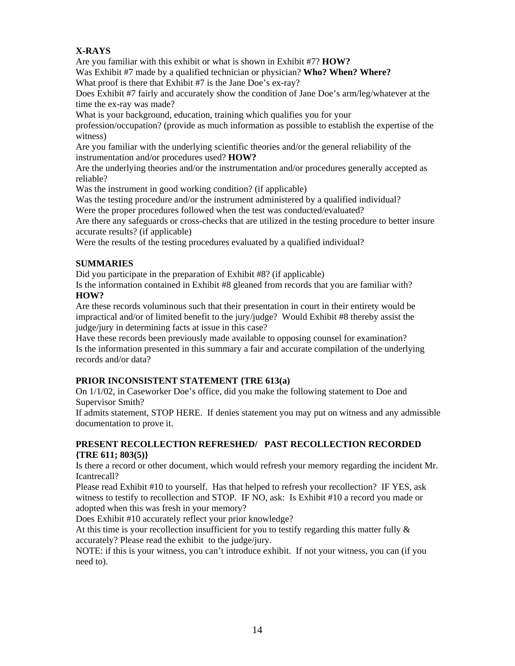#### **X-RAYS**

Are you familiar with this exhibit or what is shown in Exhibit #7? **HOW?** 

 What proof is there that Exhibit #7 is the Jane Doe's ex-ray? Was Exhibit #7 made by a qualified technician or physician? **Who? When? Where?**

Does Exhibit #7 fairly and accurately show the condition of Jane Doe's arm/leg/whatever at the time the ex-ray was made?

What is your background, education, training which qualifies you for your profession/occupation? (provide as much information as possible to establish the expertise of the witness)

Are you familiar with the underlying scientific theories and/or the general reliability of the instrumentation and/or procedures used? **HOW?**

Are the underlying theories and/or the instrumentation and/or procedures generally accepted as reliable?

Was the instrument in good working condition? (if applicable)

Was the testing procedure and/or the instrument administered by a qualified individual? Were the proper procedures followed when the test was conducted/evaluated?

Are there any safeguards or cross-checks that are utilized in the testing procedure to better insure accurate results? (if applicable)

Were the results of the testing procedures evaluated by a qualified individual?

#### **SUMMARIES**

Did you participate in the preparation of Exhibit #8? (if applicable)

Is the information contained in Exhibit #8 gleaned from records that you are familiar with? **HOW?** 

Are these records voluminous such that their presentation in court in their entirety would be impractical and/or of limited benefit to the jury/judge? Would Exhibit #8 thereby assist the judge/jury in determining facts at issue in this case?

Have these records been previously made available to opposing counsel for examination? Is the information presented in this summary a fair and accurate compilation of the underlying records and/or data?

#### **PRIOR INCONSISTENT STATEMENT {TRE 613(a)**

On 1/1/02, in Caseworker Doe's office, did you make the following statement to Doe and Supervisor Smith?

If admits statement, STOP HERE. If denies statement you may put on witness and any admissible documentation to prove it.

#### **PRESENT RECOLLECTION REFRESHED/ PAST RECOLLECTION RECORDED {TRE 611; 803(5)}**

Is there a record or other document, which would refresh your memory regarding the incident Mr. Icantrecall?

Please read Exhibit #10 to yourself. Has that helped to refresh your recollection? IF YES, ask witness to testify to recollection and STOP. IF NO, ask: Is Exhibit #10 a record you made or adopted when this was fresh in your memory?

Does Exhibit #10 accurately reflect your prior knowledge?

At this time is your recollection insufficient for you to testify regarding this matter fully  $\&$ accurately? Please read the exhibit to the judge/jury.

NOTE: if this is your witness, you can't introduce exhibit. If not your witness, you can (if you need to).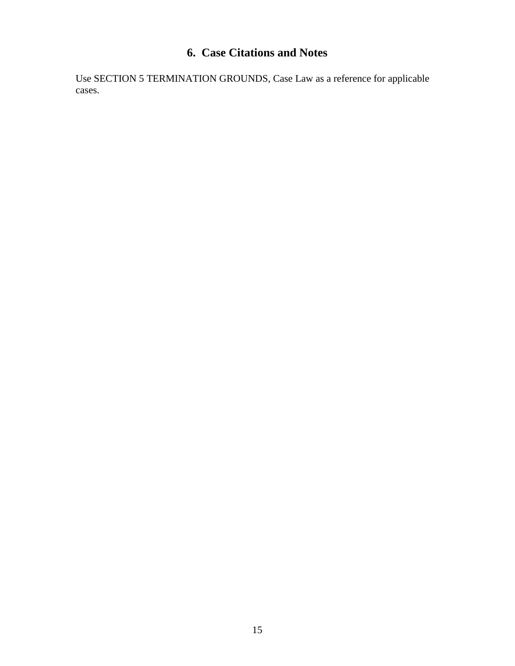## **6. Case Citations and Notes**

Use SECTION 5 TERMINATION GROUNDS, Case Law as a reference for applicable cases.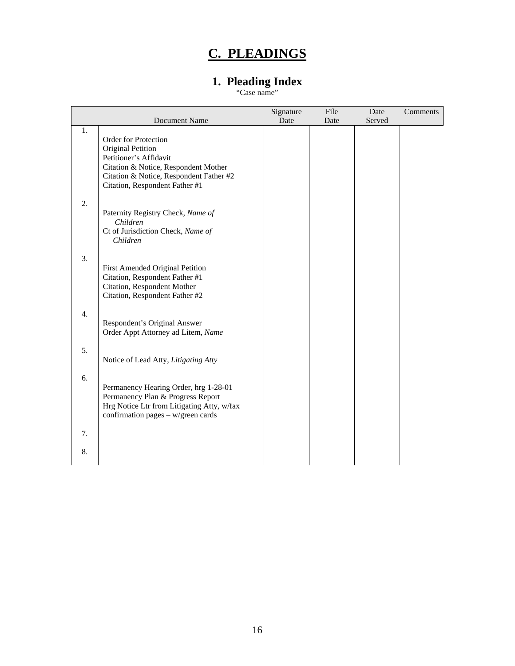## **C. PLEADINGS**

## **1. Pleading Index**

"Case name"

|    | Document Name                                                                                                                                                  | Signature<br>Date | File<br>Date | Date<br>Served | Comments |
|----|----------------------------------------------------------------------------------------------------------------------------------------------------------------|-------------------|--------------|----------------|----------|
| 1. | Order for Protection<br>Original Petition<br>Petitioner's Affidavit<br>Citation & Notice, Respondent Mother<br>Citation & Notice, Respondent Father #2         |                   |              |                |          |
| 2. | Citation, Respondent Father #1<br>Paternity Registry Check, Name of<br>Children<br>Ct of Jurisdiction Check, Name of<br>Children                               |                   |              |                |          |
| 3. | First Amended Original Petition<br>Citation, Respondent Father #1<br>Citation, Respondent Mother<br>Citation, Respondent Father #2                             |                   |              |                |          |
| 4. | Respondent's Original Answer<br>Order Appt Attorney ad Litem, Name                                                                                             |                   |              |                |          |
| 5. | Notice of Lead Atty, Litigating Atty                                                                                                                           |                   |              |                |          |
| 6. | Permanency Hearing Order, hrg 1-28-01<br>Permanency Plan & Progress Report<br>Hrg Notice Ltr from Litigating Atty, w/fax<br>confirmation pages - w/green cards |                   |              |                |          |
| 7. |                                                                                                                                                                |                   |              |                |          |
| 8. |                                                                                                                                                                |                   |              |                |          |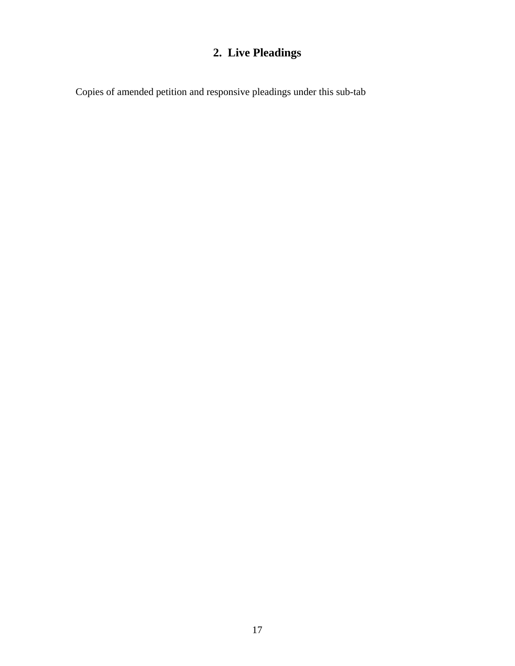## **2. Live Pleadings**

Copies of amended petition and responsive pleadings under this sub-tab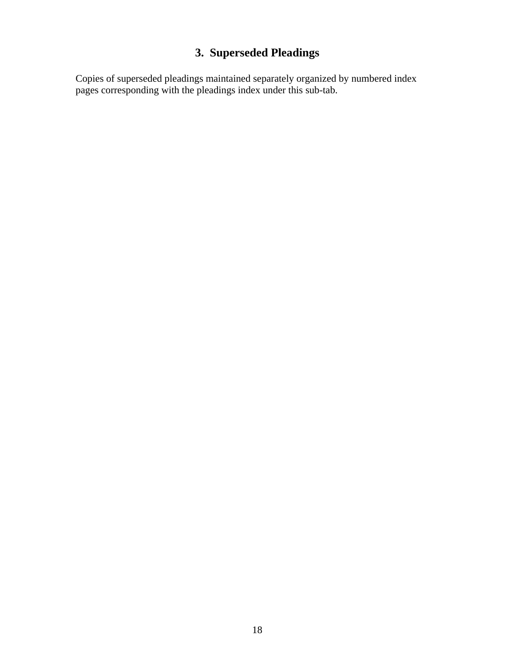## **3. Superseded Pleadings**

Copies of superseded pleadings maintained separately organized by numbered index pages corresponding with the pleadings index under this sub-tab.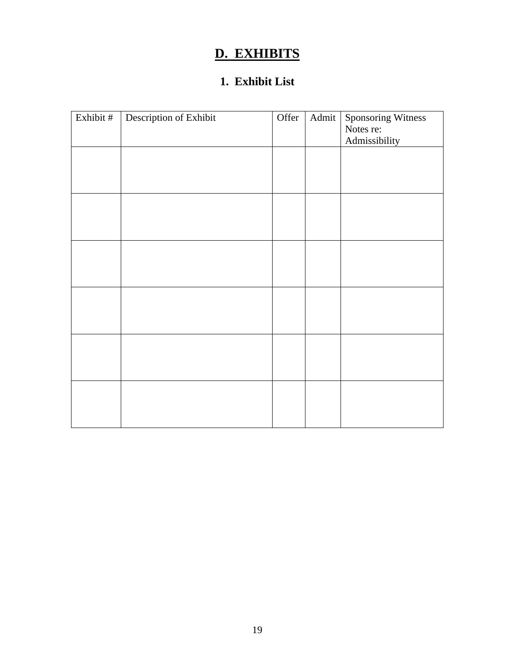## **D. EXHIBITS**

## **1. Exhibit List**

| Exhibit # | Description of Exhibit | Offer | Admit | <b>Sponsoring Witness</b><br>Notes re: |
|-----------|------------------------|-------|-------|----------------------------------------|
|           |                        |       |       | Admissibility                          |
|           |                        |       |       |                                        |
|           |                        |       |       |                                        |
|           |                        |       |       |                                        |
|           |                        |       |       |                                        |
|           |                        |       |       |                                        |
|           |                        |       |       |                                        |
|           |                        |       |       |                                        |
|           |                        |       |       |                                        |
|           |                        |       |       |                                        |
|           |                        |       |       |                                        |
|           |                        |       |       |                                        |
|           |                        |       |       |                                        |
|           |                        |       |       |                                        |
|           |                        |       |       |                                        |
|           |                        |       |       |                                        |
|           |                        |       |       |                                        |
|           |                        |       |       |                                        |
|           |                        |       |       |                                        |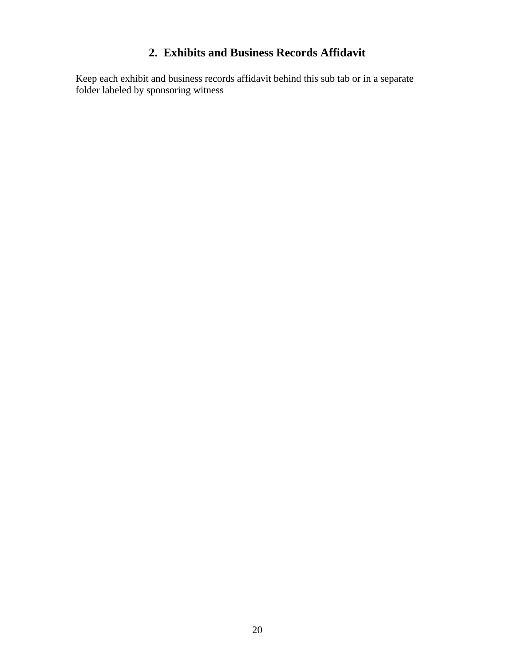## **2. Exhibits and Business Records Affidavit**

Keep each exhibit and business records affidavit behind this sub tab or in a separate folder labeled by sponsoring witness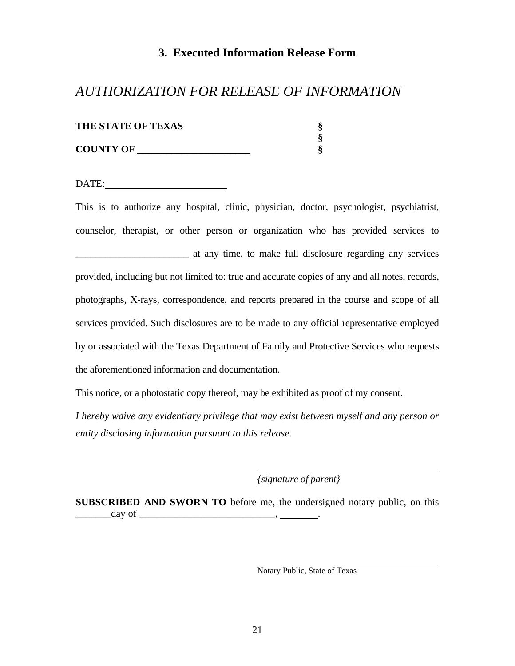#### **3. Executed Information Release Form**

## *AUTHORIZATION FOR RELEASE OF INFORMATION*

| <b>THE STATE OF TEXAS</b> |  |
|---------------------------|--|
|                           |  |
| <b>COUNTY OF</b>          |  |

DATE:

This is to authorize any hospital, clinic, physician, doctor, psychologist, psychiatrist, counselor, therapist, or other person or organization who has provided services to at any time, to make full disclosure regarding any services provided, including but not limited to: true and accurate copies of any and all notes, records, photographs, X-rays, correspondence, and reports prepared in the course and scope of all services provided. Such disclosures are to be made to any official representative employed by or associated with the Texas Department of Family and Protective Services who requests the aforementioned information and documentation.

This notice, or a photostatic copy thereof, may be exhibited as proof of my consent.

*I hereby waive any evidentiary privilege that may exist between myself and any person or entity disclosing information pursuant to this release.* 

*{signature of parent}* 

**SUBSCRIBED AND SWORN TO** before me, the undersigned notary public, on this  $\qquad \qquad \text{day of} \qquad$ 

Notary Public, State of Texas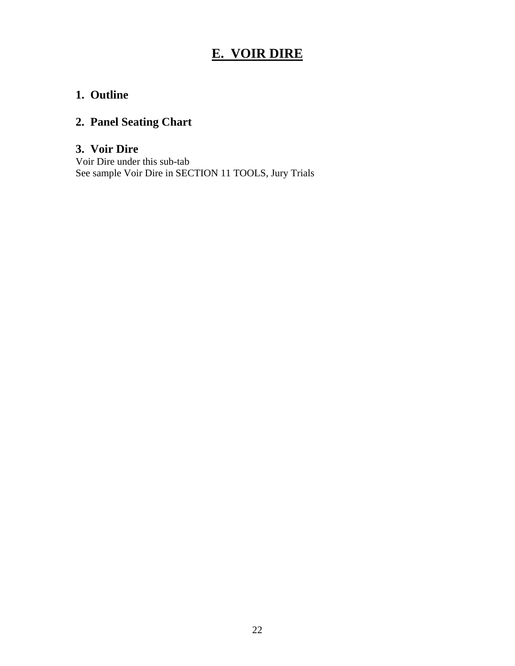## **E. VOIR DIRE**

## **1. Outline**

## **2. Panel Seating Chart**

## **3. Voir Dire**

Voir Dire under this sub-tab See sample Voir Dire in SECTION 11 TOOLS, Jury Trials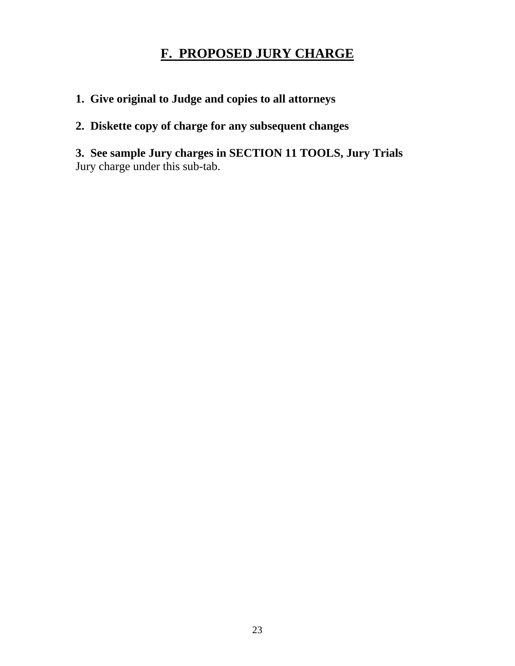## **F. PROPOSED JURY CHARGE**

**1. Give original to Judge and copies to all attorneys** 

## **2. Diskette copy of charge for any subsequent changes**

**3. See sample Jury charges in SECTION 11 TOOLS, Jury Trials**  Jury charge under this sub-tab.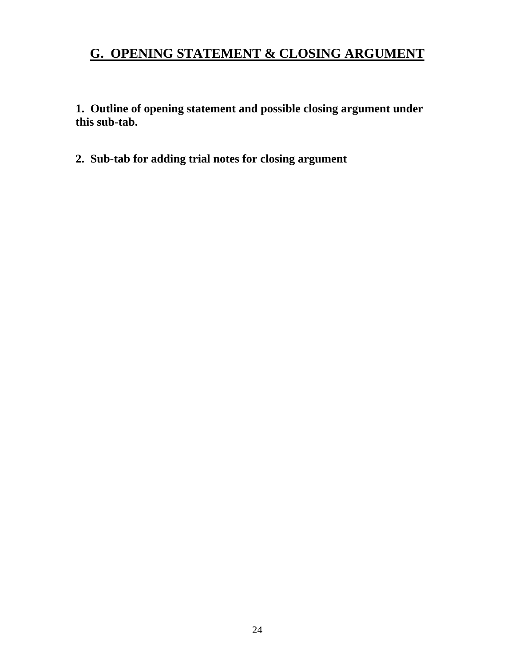## **G. OPENING STATEMENT & CLOSING ARGUMENT**

**1. Outline of opening statement and possible closing argument under this sub-tab.** 

**2. Sub-tab for adding trial notes for closing argument**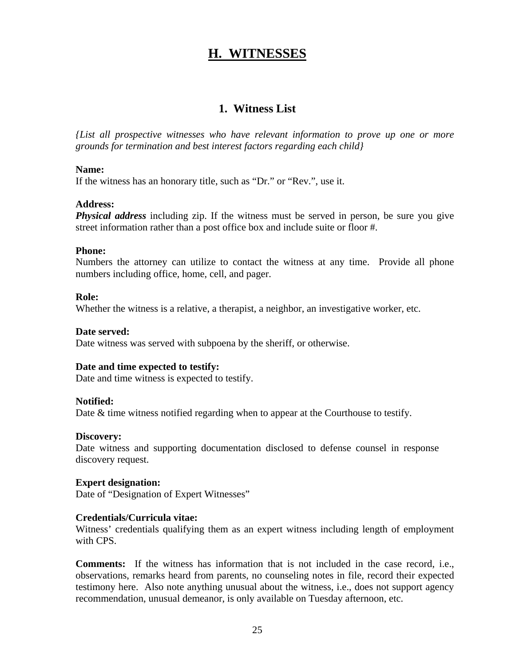## **H. WITNESSES**

### **1. Witness List**

*{List all prospective witnesses who have relevant information to prove up one or more grounds for termination and best interest factors regarding each child}* 

#### **Name:**

If the witness has an honorary title, such as "Dr." or "Rev.", use it.

#### **Address:**

*Physical address* including zip. If the witness must be served in person, be sure you give street information rather than a post office box and include suite or floor #.

#### **Phone:**

Numbers the attorney can utilize to contact the witness at any time. Provide all phone numbers including office, home, cell, and pager.

#### **Role:**

Whether the witness is a relative, a therapist, a neighbor, an investigative worker, etc.

#### **Date served:**

Date witness was served with subpoena by the sheriff, or otherwise.

#### **Date and time expected to testify:**

Date and time witness is expected to testify.

#### **Notified:**

Date & time witness notified regarding when to appear at the Courthouse to testify.

#### **Discovery:**

Date witness and supporting documentation disclosed to defense counsel in response discovery request.

#### **Expert designation:**

Date of "Designation of Expert Witnesses"

#### **Credentials/Curricula vitae:**

Witness' credentials qualifying them as an expert witness including length of employment with CPS.

**Comments:** If the witness has information that is not included in the case record, i.e., observations, remarks heard from parents, no counseling notes in file, record their expected testimony here. Also note anything unusual about the witness, i.e., does not support agency recommendation, unusual demeanor, is only available on Tuesday afternoon, etc.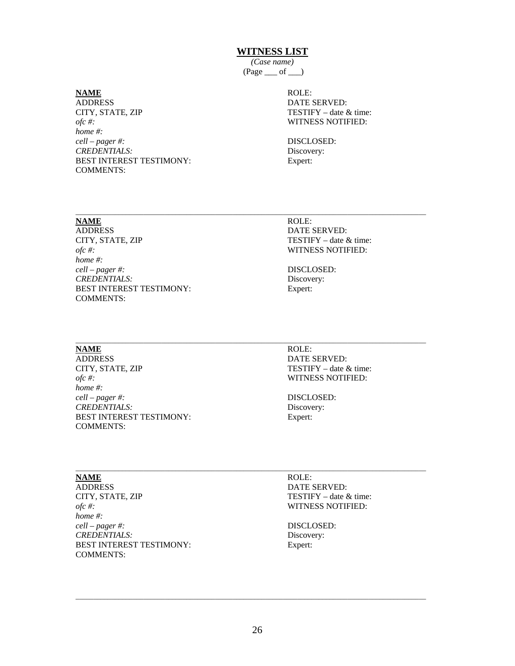#### **WITNESS LIST**

*(Case name)*   $(Page \_\ of \_\ )$ 

 $\_$  . The contribution of the contribution of the contribution of the contribution of  $\mathcal{L}_1$ 

CITY, STATE, ZIP *home #:* ADDRESS DATE SERVED: *ofc #:* WITNESS NOTIFIED: *cell – pager #:* DISCLOSED: *CREDENTIALS:* Discovery: BEST INTEREST TESTIMONY: Expert: COMMENTS:

# **NAME** ROLE: TESTIFY – date  $&$  time:

CITY, STATE, ZIP home #: ADDRESS DATE SERVED: *ofc #:* WITNESS NOTIFIED: *home #: cell – pager #:* DISCLOSED: *CREDENTIALS:* Discovery: BEST INTEREST TESTIMONY: Expert: COMMENTS:

# **NAME** ROLE: TESTIFY – date & time:

CITY, STATE, ZIP home  $#$ : **NAME**<br>ADDRESS *ofc #:* WITNESS NOTIFIED: *home #: cell – pager #:* DISCLOSED: *CREDENTIALS:* Discovery: BEST INTEREST TESTIMONY: Expert: COMMENTS:

\_\_\_\_\_\_\_\_\_\_\_\_\_\_\_\_\_\_\_\_\_\_\_\_\_\_\_\_\_\_\_\_\_\_\_\_\_\_\_\_\_\_\_\_\_\_

# ROLE:

DATE SERVED: TESTIFY – date  $&$  time:

\_\_\_\_\_\_\_\_\_\_\_\_\_\_\_\_\_\_\_\_\_\_\_\_\_\_\_\_\_\_\_\_\_\_\_\_\_\_\_\_\_\_\_\_\_\_\_\_\_\_\_\_

CITY, STATE, ZIP *home #:* ADDRESS DATE SERVED: *ofc #:* WITNESS NOTIFIED: *cell – pager #:* DISCLOSED: *CREDENTIALS:* Discovery: BEST INTEREST TESTIMONY: Expert: COMMENTS:

**NAME** ROLE: TESTIFY – date  $&$  time:

 $\_$  . The contribution of the contribution of the contribution of the contribution of  $\mathcal{L}_1$ 

 $\_$  . The contribution of the contribution of the contribution of the contribution of  $\mathcal{L}_1$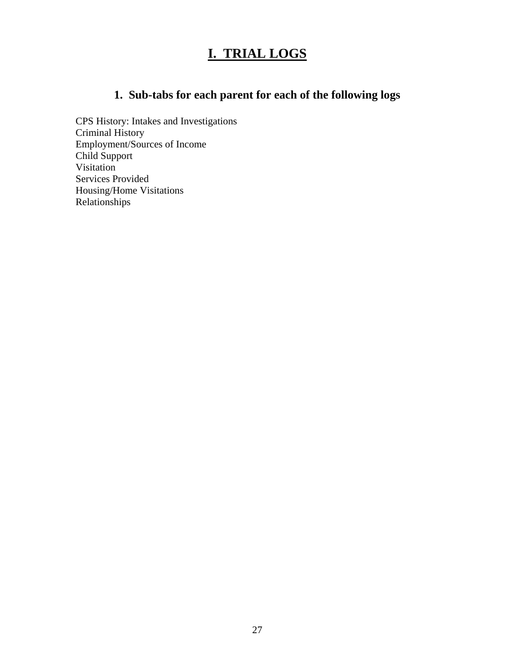## **I. TRIAL LOGS**

## **1. Sub-tabs for each parent for each of the following logs**

 Employment/Sources of Income Child Support CPS History: Intakes and Investigations Criminal History Visitation Services Provided Housing/Home Visitations Relationships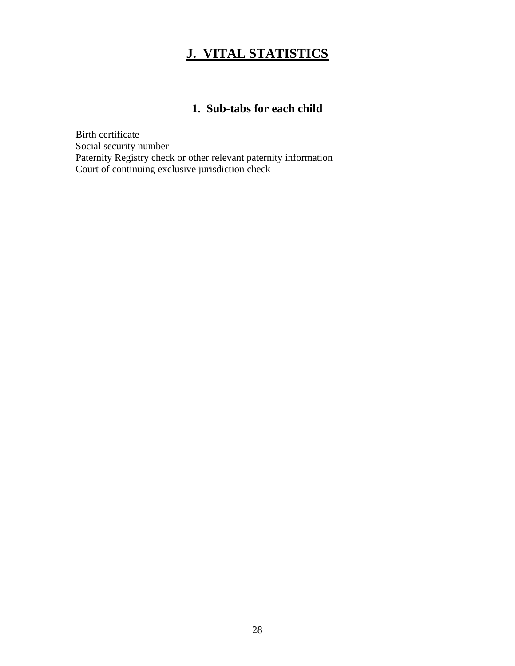## **J. VITAL STATISTICS**

## **1. Sub-tabs for each child**

Birth certificate Social security number Paternity Registry check or other relevant paternity information Court of continuing exclusive jurisdiction check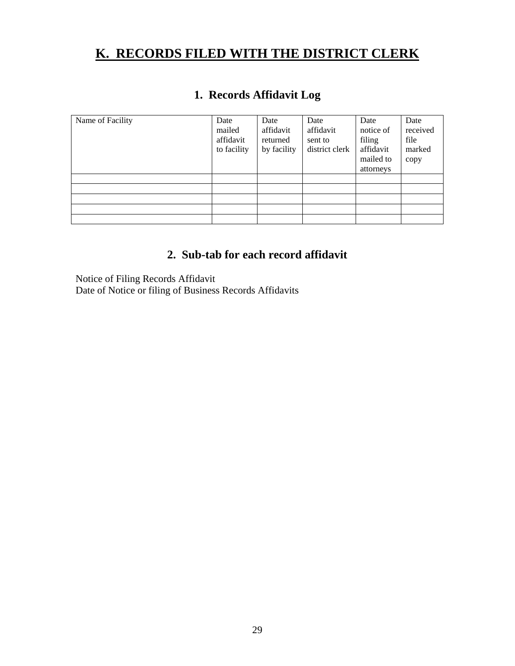## **K. RECORDS FILED WITH THE DISTRICT CLERK**

## **1. Records Affidavit Log**

| Name of Facility | Date<br>mailed<br>affidavit<br>to facility | Date<br>affidavit<br>returned<br>by facility | Date<br>affidavit<br>sent to<br>district clerk | Date<br>notice of<br>filing<br>affidavit<br>mailed to<br>attorneys | Date<br>received<br>file<br>marked<br>copy |
|------------------|--------------------------------------------|----------------------------------------------|------------------------------------------------|--------------------------------------------------------------------|--------------------------------------------|
|                  |                                            |                                              |                                                |                                                                    |                                            |
|                  |                                            |                                              |                                                |                                                                    |                                            |
|                  |                                            |                                              |                                                |                                                                    |                                            |
|                  |                                            |                                              |                                                |                                                                    |                                            |
|                  |                                            |                                              |                                                |                                                                    |                                            |

## **2. Sub-tab for each record affidavit**

Notice of Filing Records Affidavit Date of Notice or filing of Business Records Affidavits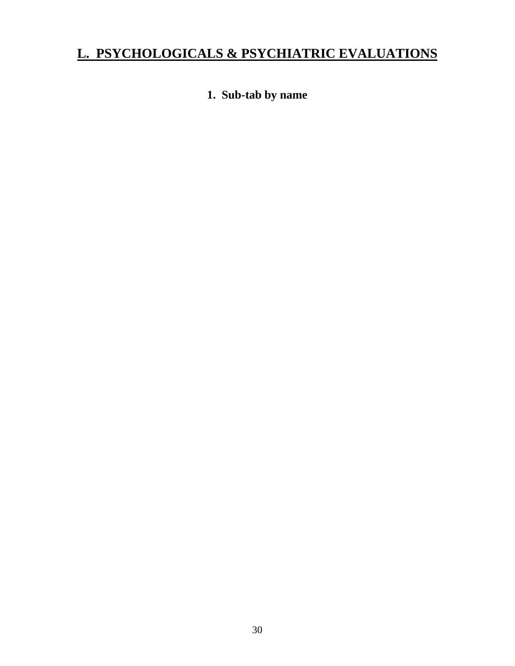## **L. PSYCHOLOGICALS & PSYCHIATRIC EVALUATIONS**

## **1. Sub-tab by name**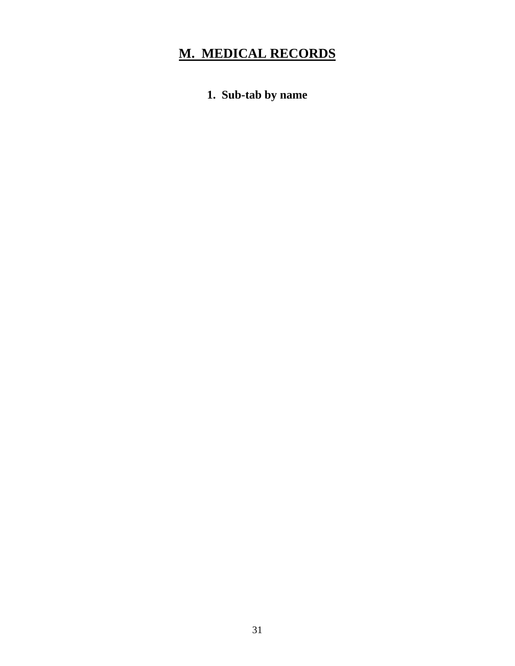# **M. MEDICAL RECORDS**

**1. Sub-tab by name**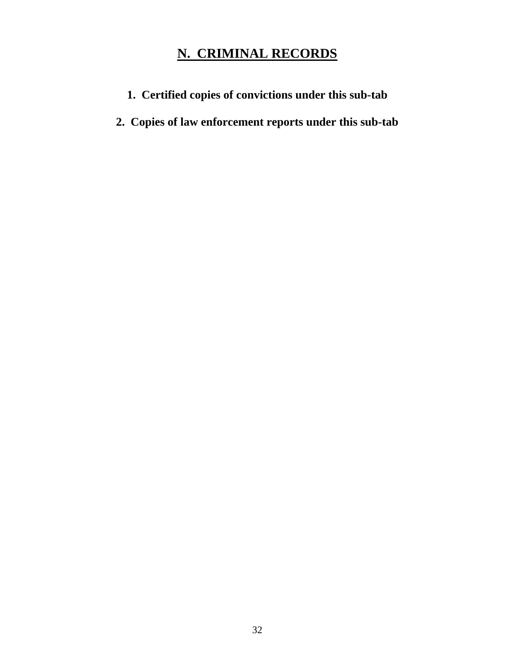## **N. CRIMINAL RECORDS**

- **1. Certified copies of convictions under this sub-tab**
- **2. Copies of law enforcement reports under this sub-tab**